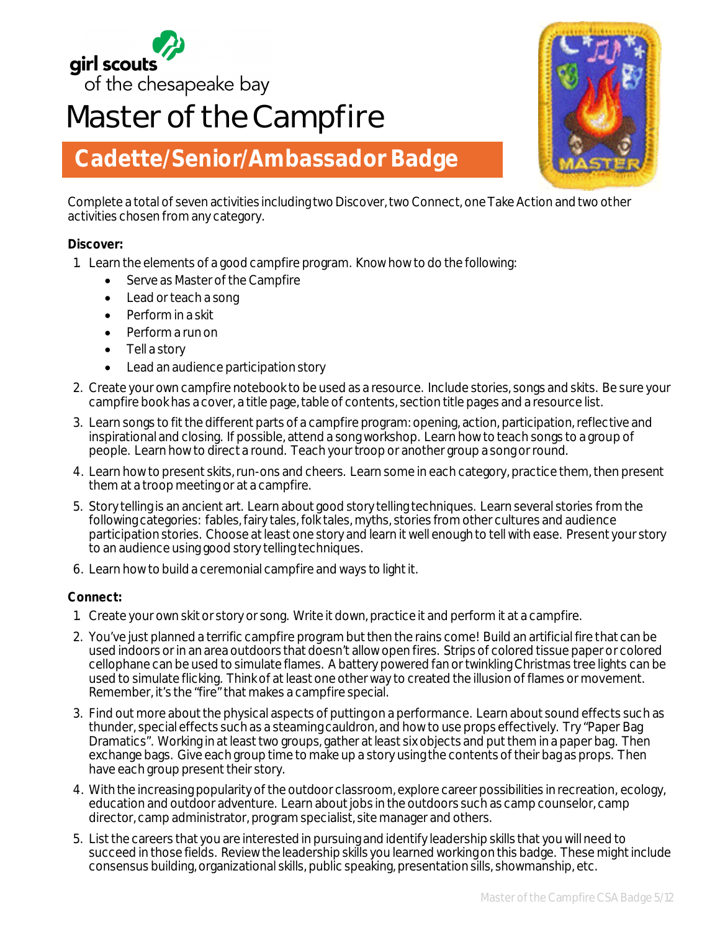

# **Master of the Campfire**



## **Cadette/Senior/Ambassador Badge**

Complete a total of seven activities including two Discover, two Connect, one Take Action and two other activities chosen from any category.

#### **Discover:**

- 1. Learn the elements of a good campfire program. Know how to do the following:
	- Serve as Master of the Campfire
	- Lead or teach a song
	- Perform in a skit
	- Perform a run on
	- Tell a story
	- Lead an audience participation story
- 2. Create your own campfire notebook to be used as a resource. Include stories, songs and skits. Be sure your campfire book has a cover, a title page, table of contents, section title pages and a resource list.
- 3. Learn songs to fit the different parts of a campfire program: opening, action, participation, reflective and inspirational and closing. If possible, attend a song workshop. Learn how to teach songs to a group of people. Learn how to direct a round. Teach your troop or another group a song or round.
- 4. Learn how to present skits, run-ons and cheers. Learn some in each category, practice them, then present them at a troop meeting or at a campfire.
- 5. Story telling is an ancient art. Learn about good story telling techniques. Learn several stories from the following categories: fables, fairy tales, folk tales, myths, stories from other cultures and audience participation stories. Choose at least one story and learn it well enough to tell with ease. Present your story to an audience using good story telling techniques.
- 6. Learn how to build a ceremonial campfire and ways to light it.

#### **Connect:**

- 1. Create your own skit or story or song. Write it down, practice it and perform it at a campfire.
- 2. You've just planned a terrific campfire program but then the rains come! Build an artificial fire that can be used indoors or in an area outdoors that doesn't allow open fires. Strips of colored tissue paper or colored cellophane can be used to simulate flames. A battery powered fan or twinkling Christmas tree lights can be used to simulate flicking. Think of at least one other way to created the illusion of flames or movement. Remember, it's the "fire" that makes a campfire special.
- 3. Find out more about the physical aspects of putting on a performance. Learn about sound effects such as thunder, special effects such as a steaming cauldron, and how to use props effectively. Try "Paper Bag Dramatics". Working in at least two groups, gather at least six objects and put them in a paper bag. Then exchange bags. Give each group time to make up a story using the contents of their bag as props. Then have each group present their story.
- 4. With the increasing popularity of the outdoor classroom, explore career possibilities in recreation, ecology, education and outdoor adventure. Learn about jobs in the outdoors such as camp counselor, camp director, camp administrator, program specialist, site manager and others.
- 5. List the careers that you are interested in pursuing and identify leadership skills that you will need to succeed in those fields. Review the leadership skills you learned working on this badge. These might include consensus building, organizational skills, public speaking, presentation sills, showmanship, etc.